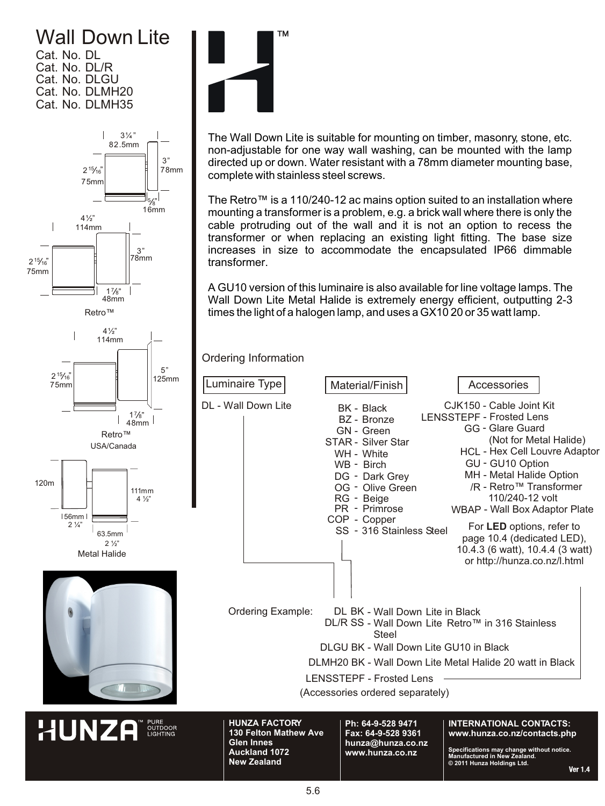## Wall Down Lite Cat. No. DL Cat. No. DL/R Cat. No. DLGU Cat. No. DLMH20 Cat. No. DJ MH35





**HUNZA** 

63.5mm  $2<sup>1</sup>/<sub>2</sub>$ Metal Halide



The Wall Down Lite is suitable for mounting on timber, masonry, stone, etc. non-adjustable for one way wall washing, can be mounted with the lamp directed up or down. Water resistant with a 78mm diameter mounting base, complete with stainless steel screws.

The Retro™ is a 110/240-12 ac mains option suited to an installation where mounting a transformer is a problem, e.g. a brick wall where there is only the cable protruding out of the wall and it is not an option to recess the transformer or when replacing an existing light fitting. The base size increases in size to accommodate the encapsulated IP66 dimmable transformer.

A GU10 version of this luminaire is also available for line voltage lamps. The Wall Down Lite Metal Halide is extremely energy efficient, outputting 2-3 times the light of a halogen lamp, and uses a GX10 20 or 35 watt lamp.

Ordering Information



Ver  $14$